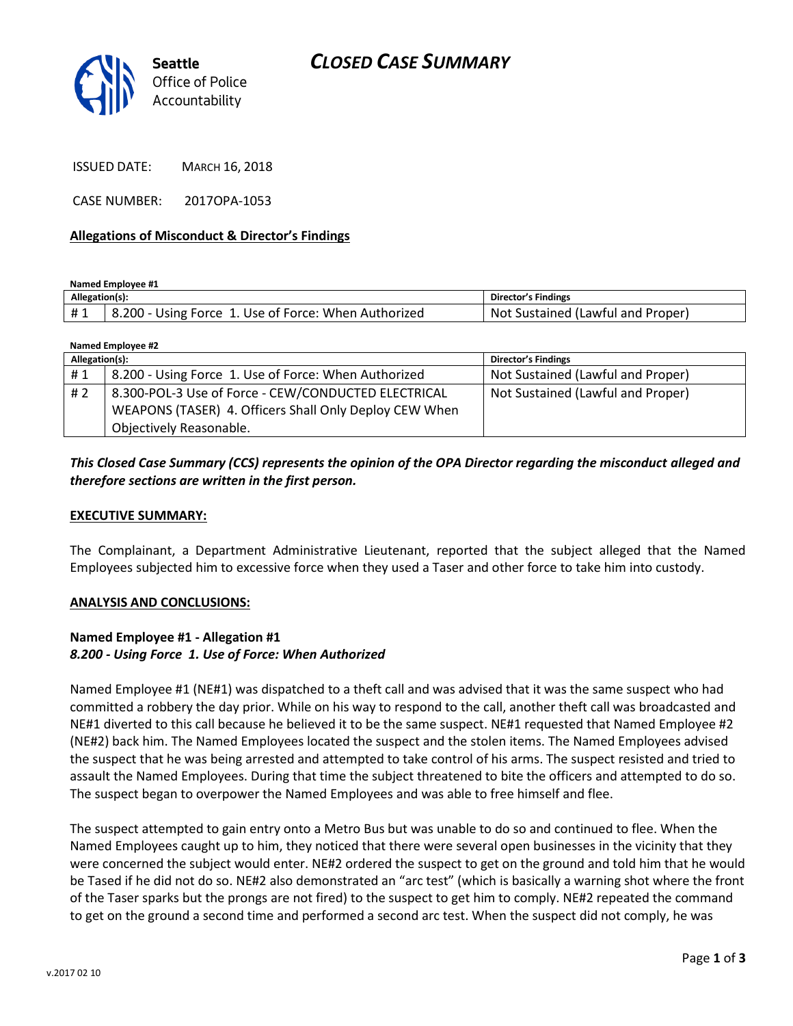# *CLOSED CASE SUMMARY*



ISSUED DATE: MARCH 16, 2018

CASE NUMBER: 2017OPA-1053

#### **Allegations of Misconduct & Director's Findings**

**Named Employee #1**

| Allegation(s): |                                                      | Director's Findings               |
|----------------|------------------------------------------------------|-----------------------------------|
| #1             | 8.200 - Using Force 1. Use of Force: When Authorized | Not Sustained (Lawful and Proper) |

| Named Employee #2 |                                                        |                                   |  |
|-------------------|--------------------------------------------------------|-----------------------------------|--|
| Allegation(s):    |                                                        | <b>Director's Findings</b>        |  |
| #1                | 8.200 - Using Force 1. Use of Force: When Authorized   | Not Sustained (Lawful and Proper) |  |
| #2                | 8.300-POL-3 Use of Force - CEW/CONDUCTED ELECTRICAL    | Not Sustained (Lawful and Proper) |  |
|                   | WEAPONS (TASER) 4. Officers Shall Only Deploy CEW When |                                   |  |
|                   | Objectively Reasonable.                                |                                   |  |

### *This Closed Case Summary (CCS) represents the opinion of the OPA Director regarding the misconduct alleged and therefore sections are written in the first person.*

#### **EXECUTIVE SUMMARY:**

The Complainant, a Department Administrative Lieutenant, reported that the subject alleged that the Named Employees subjected him to excessive force when they used a Taser and other force to take him into custody.

#### **ANALYSIS AND CONCLUSIONS:**

#### **Named Employee #1 - Allegation #1** *8.200 - Using Force 1. Use of Force: When Authorized*

Named Employee #1 (NE#1) was dispatched to a theft call and was advised that it was the same suspect who had committed a robbery the day prior. While on his way to respond to the call, another theft call was broadcasted and NE#1 diverted to this call because he believed it to be the same suspect. NE#1 requested that Named Employee #2 (NE#2) back him. The Named Employees located the suspect and the stolen items. The Named Employees advised the suspect that he was being arrested and attempted to take control of his arms. The suspect resisted and tried to assault the Named Employees. During that time the subject threatened to bite the officers and attempted to do so. The suspect began to overpower the Named Employees and was able to free himself and flee.

The suspect attempted to gain entry onto a Metro Bus but was unable to do so and continued to flee. When the Named Employees caught up to him, they noticed that there were several open businesses in the vicinity that they were concerned the subject would enter. NE#2 ordered the suspect to get on the ground and told him that he would be Tased if he did not do so. NE#2 also demonstrated an "arc test" (which is basically a warning shot where the front of the Taser sparks but the prongs are not fired) to the suspect to get him to comply. NE#2 repeated the command to get on the ground a second time and performed a second arc test. When the suspect did not comply, he was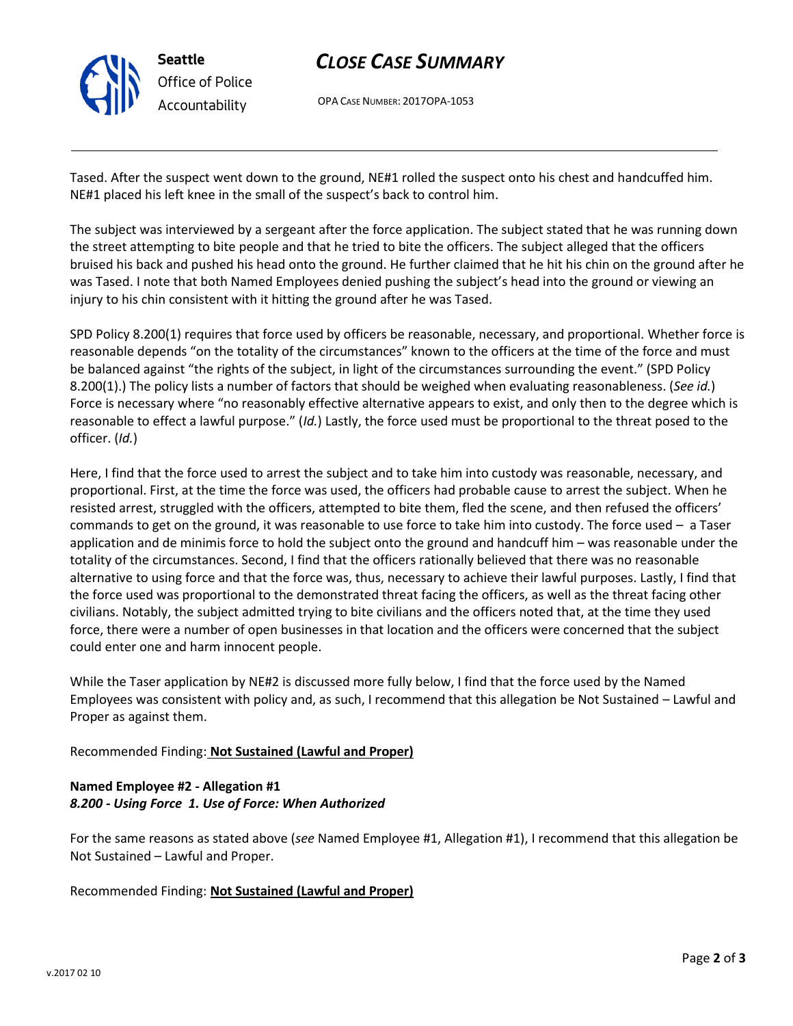

# *CLOSE CASE SUMMARY*

OPA CASE NUMBER: 2017OPA-1053

Tased. After the suspect went down to the ground, NE#1 rolled the suspect onto his chest and handcuffed him. NE#1 placed his left knee in the small of the suspect's back to control him.

The subject was interviewed by a sergeant after the force application. The subject stated that he was running down the street attempting to bite people and that he tried to bite the officers. The subject alleged that the officers bruised his back and pushed his head onto the ground. He further claimed that he hit his chin on the ground after he was Tased. I note that both Named Employees denied pushing the subject's head into the ground or viewing an injury to his chin consistent with it hitting the ground after he was Tased.

SPD Policy 8.200(1) requires that force used by officers be reasonable, necessary, and proportional. Whether force is reasonable depends "on the totality of the circumstances" known to the officers at the time of the force and must be balanced against "the rights of the subject, in light of the circumstances surrounding the event." (SPD Policy 8.200(1).) The policy lists a number of factors that should be weighed when evaluating reasonableness. (*See id.*) Force is necessary where "no reasonably effective alternative appears to exist, and only then to the degree which is reasonable to effect a lawful purpose." (*Id.*) Lastly, the force used must be proportional to the threat posed to the officer. (*Id.*)

Here, I find that the force used to arrest the subject and to take him into custody was reasonable, necessary, and proportional. First, at the time the force was used, the officers had probable cause to arrest the subject. When he resisted arrest, struggled with the officers, attempted to bite them, fled the scene, and then refused the officers' commands to get on the ground, it was reasonable to use force to take him into custody. The force used – a Taser application and de minimis force to hold the subject onto the ground and handcuff him – was reasonable under the totality of the circumstances. Second, I find that the officers rationally believed that there was no reasonable alternative to using force and that the force was, thus, necessary to achieve their lawful purposes. Lastly, I find that the force used was proportional to the demonstrated threat facing the officers, as well as the threat facing other civilians. Notably, the subject admitted trying to bite civilians and the officers noted that, at the time they used force, there were a number of open businesses in that location and the officers were concerned that the subject could enter one and harm innocent people.

While the Taser application by NE#2 is discussed more fully below, I find that the force used by the Named Employees was consistent with policy and, as such, I recommend that this allegation be Not Sustained – Lawful and Proper as against them.

Recommended Finding: **Not Sustained (Lawful and Proper)**

## **Named Employee #2 - Allegation #1** *8.200 - Using Force 1. Use of Force: When Authorized*

For the same reasons as stated above (*see* Named Employee #1, Allegation #1), I recommend that this allegation be Not Sustained – Lawful and Proper.

Recommended Finding: **Not Sustained (Lawful and Proper)**